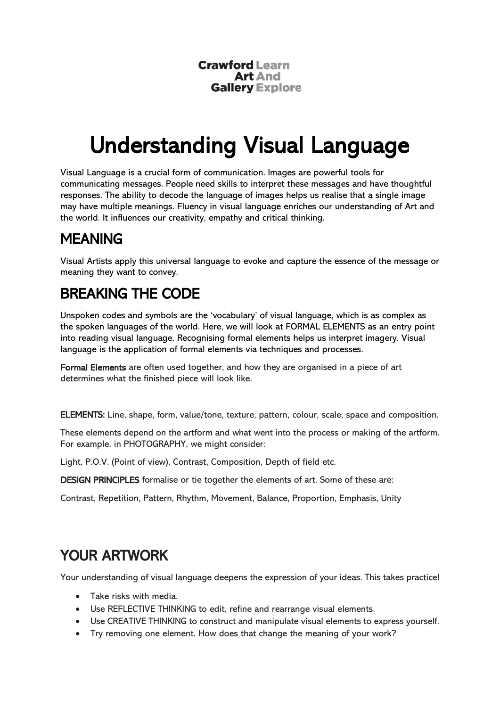**Crawford Learn Art And Gallery Explore** 

# Understanding Visual Language

Visual Language is a crucial form of communication. Images are powerful tools for communicating messages. People need skills to interpret these messages and have thoughtful responses. The ability to decode the language of images helps us realise that a single image may have multiple meanings. Fluency in visual language enriches our understanding of Art and the world. It influences our creativity, empathy and critical thinking.

## MEANING

Visual Artists apply this universal language to evoke and capture the essence of the message or meaning they want to convey.

### BREAKING THE CODE

Unspoken codes and symbols are the 'vocabulary' of visual language, which is as complex as the spoken languages of the world. Here, we will look at FORMAL ELEMENTS as an entry point into reading visual language. Recognising formal elements helps us interpret imagery. Visual language is the application of formal elements via techniques and processes.

Formal Elements are often used together, and how they are organised in a piece of art determines what the finished piece will look like.

ELEMENTS: Line, shape, form, value/tone, texture, pattern, colour, scale, space and composition.

These elements depend on the artform and what went into the process or making of the artform. For example, in PHOTOGRAPHY, we might consider:

Light, P.O.V. (Point of view), Contrast, Composition, Depth of field etc.

DESIGN PRINCIPLES formalise or tie together the elements of art. Some of these are:

Contrast, Repetition, Pattern, Rhythm, Movement, Balance, Proportion, Emphasis, Unity

### YOUR ARTWORK

Your understanding of visual language deepens the expression of your ideas. This takes practice!

- Take risks with media.
- Use REFLECTIVE THINKING to edit, refine and rearrange visual elements.
- Use CREATIVE THINKING to construct and manipulate visual elements to express yourself.
- Try removing one element. How does that change the meaning of your work?